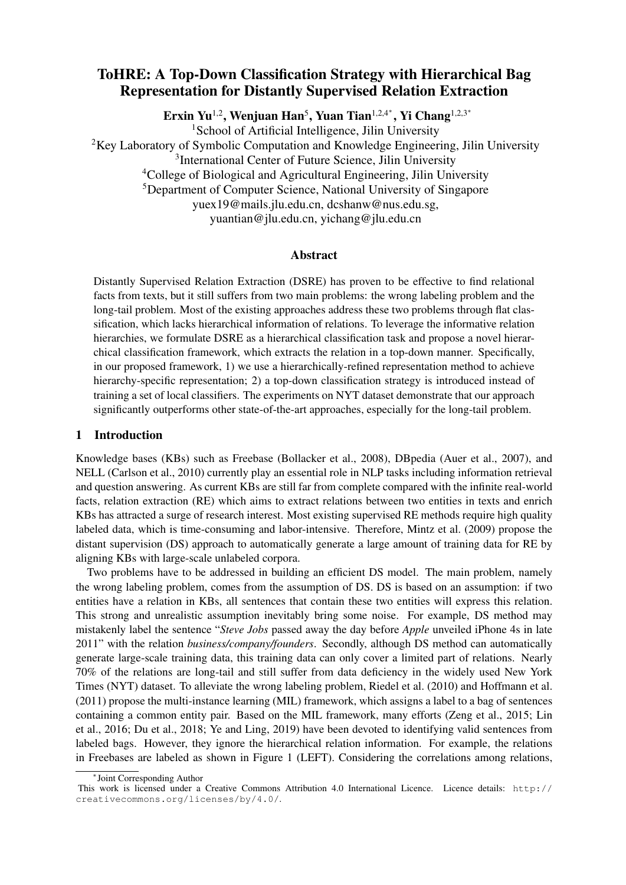# ToHRE: A Top-Down Classification Strategy with Hierarchical Bag Representation for Distantly Supervised Relation Extraction

Erxin Yu<sup>1,2</sup>, Wenjuan Han<sup>5</sup>, Yuan Tian<sup>1,2,4</sup>\*, Yi Chang<sup>1,2,3</sup>\*

<sup>1</sup>School of Artificial Intelligence, Jilin University  $2$ Key Laboratory of Symbolic Computation and Knowledge Engineering, Jilin University <sup>3</sup>International Center of Future Science, Jilin University <sup>4</sup>College of Biological and Agricultural Engineering, Jilin University <sup>5</sup>Department of Computer Science, National University of Singapore yuex19@mails.jlu.edu.cn, dcshanw@nus.edu.sg, yuantian@jlu.edu.cn, yichang@jlu.edu.cn

# Abstract

Distantly Supervised Relation Extraction (DSRE) has proven to be effective to find relational facts from texts, but it still suffers from two main problems: the wrong labeling problem and the long-tail problem. Most of the existing approaches address these two problems through flat classification, which lacks hierarchical information of relations. To leverage the informative relation hierarchies, we formulate DSRE as a hierarchical classification task and propose a novel hierarchical classification framework, which extracts the relation in a top-down manner. Specifically, in our proposed framework, 1) we use a hierarchically-refined representation method to achieve hierarchy-specific representation; 2) a top-down classification strategy is introduced instead of training a set of local classifiers. The experiments on NYT dataset demonstrate that our approach significantly outperforms other state-of-the-art approaches, especially for the long-tail problem.

#### 1 Introduction

Knowledge bases (KBs) such as Freebase (Bollacker et al., 2008), DBpedia (Auer et al., 2007), and NELL (Carlson et al., 2010) currently play an essential role in NLP tasks including information retrieval and question answering. As current KBs are still far from complete compared with the infinite real-world facts, relation extraction (RE) which aims to extract relations between two entities in texts and enrich KBs has attracted a surge of research interest. Most existing supervised RE methods require high quality labeled data, which is time-consuming and labor-intensive. Therefore, Mintz et al. (2009) propose the distant supervision (DS) approach to automatically generate a large amount of training data for RE by aligning KBs with large-scale unlabeled corpora.

Two problems have to be addressed in building an efficient DS model. The main problem, namely the wrong labeling problem, comes from the assumption of DS. DS is based on an assumption: if two entities have a relation in KBs, all sentences that contain these two entities will express this relation. This strong and unrealistic assumption inevitably bring some noise. For example, DS method may mistakenly label the sentence "*Steve Jobs* passed away the day before *Apple* unveiled iPhone 4s in late 2011" with the relation *business/company/founders*. Secondly, although DS method can automatically generate large-scale training data, this training data can only cover a limited part of relations. Nearly 70% of the relations are long-tail and still suffer from data deficiency in the widely used New York Times (NYT) dataset. To alleviate the wrong labeling problem, Riedel et al. (2010) and Hoffmann et al. (2011) propose the multi-instance learning (MIL) framework, which assigns a label to a bag of sentences containing a common entity pair. Based on the MIL framework, many efforts (Zeng et al., 2015; Lin et al., 2016; Du et al., 2018; Ye and Ling, 2019) have been devoted to identifying valid sentences from labeled bags. However, they ignore the hierarchical relation information. For example, the relations in Freebases are labeled as shown in Figure 1 (LEFT). Considering the correlations among relations,

<sup>∗</sup> Joint Corresponding Author

This work is licensed under a Creative Commons Attribution 4.0 International Licence. Licence details: http:// creativecommons.org/licenses/by/4.0/.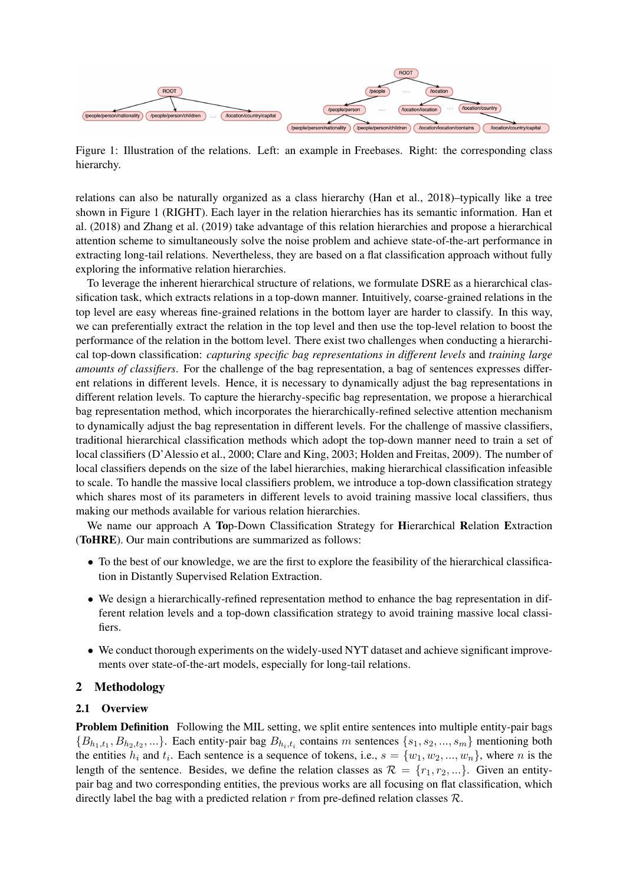

Figure 1: Illustration of the relations. Left: an example in Freebases. Right: the corresponding class hierarchy.

relations can also be naturally organized as a class hierarchy (Han et al., 2018)–typically like a tree shown in Figure 1 (RIGHT). Each layer in the relation hierarchies has its semantic information. Han et al. (2018) and Zhang et al. (2019) take advantage of this relation hierarchies and propose a hierarchical attention scheme to simultaneously solve the noise problem and achieve state-of-the-art performance in extracting long-tail relations. Nevertheless, they are based on a flat classification approach without fully exploring the informative relation hierarchies.

To leverage the inherent hierarchical structure of relations, we formulate DSRE as a hierarchical classification task, which extracts relations in a top-down manner. Intuitively, coarse-grained relations in the top level are easy whereas fine-grained relations in the bottom layer are harder to classify. In this way, we can preferentially extract the relation in the top level and then use the top-level relation to boost the performance of the relation in the bottom level. There exist two challenges when conducting a hierarchical top-down classification: *capturing specific bag representations in different levels* and *training large amounts of classifiers*. For the challenge of the bag representation, a bag of sentences expresses different relations in different levels. Hence, it is necessary to dynamically adjust the bag representations in different relation levels. To capture the hierarchy-specific bag representation, we propose a hierarchical bag representation method, which incorporates the hierarchically-refined selective attention mechanism to dynamically adjust the bag representation in different levels. For the challenge of massive classifiers, traditional hierarchical classification methods which adopt the top-down manner need to train a set of local classifiers (D'Alessio et al., 2000; Clare and King, 2003; Holden and Freitas, 2009). The number of local classifiers depends on the size of the label hierarchies, making hierarchical classification infeasible to scale. To handle the massive local classifiers problem, we introduce a top-down classification strategy which shares most of its parameters in different levels to avoid training massive local classifiers, thus making our methods available for various relation hierarchies.

We name our approach A Top-Down Classification Strategy for Hierarchical Relation Extraction (ToHRE). Our main contributions are summarized as follows:

- To the best of our knowledge, we are the first to explore the feasibility of the hierarchical classification in Distantly Supervised Relation Extraction.
- We design a hierarchically-refined representation method to enhance the bag representation in different relation levels and a top-down classification strategy to avoid training massive local classifiers.
- We conduct thorough experiments on the widely-used NYT dataset and achieve significant improvements over state-of-the-art models, especially for long-tail relations.

# 2 Methodology

# 2.1 Overview

Problem Definition Following the MIL setting, we split entire sentences into multiple entity-pair bags  ${B_{h_1,t_1}, B_{h_2,t_2}, ...}$ . Each entity-pair bag  $B_{h_i,t_i}$  contains m sentences  ${s_1, s_2, ..., s_m}$  mentioning both the entities  $h_i$  and  $t_i$ . Each sentence is a sequence of tokens, i.e.,  $s = \{w_1, w_2, ..., w_n\}$ , where n is the length of the sentence. Besides, we define the relation classes as  $\mathcal{R} = \{r_1, r_2, ...\}$ . Given an entitypair bag and two corresponding entities, the previous works are all focusing on flat classification, which directly label the bag with a predicted relation  $r$  from pre-defined relation classes  $\mathcal{R}$ .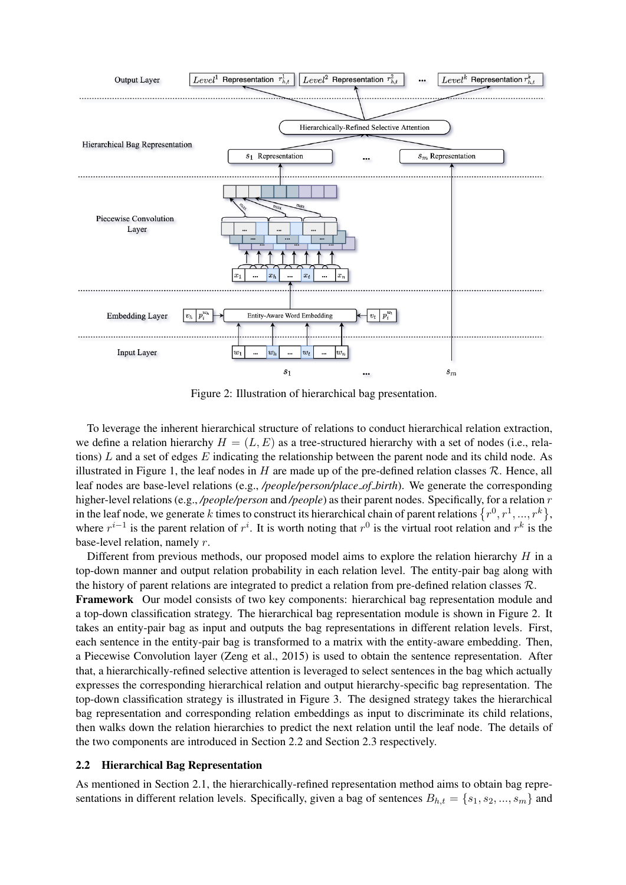

Figure 2: Illustration of hierarchical bag presentation.

To leverage the inherent hierarchical structure of relations to conduct hierarchical relation extraction, we define a relation hierarchy  $H = (L, E)$  as a tree-structured hierarchy with a set of nodes (i.e., relations) L and a set of edges  $E$  indicating the relationship between the parent node and its child node. As illustrated in Figure 1, the leaf nodes in H are made up of the pre-defined relation classes  $\mathcal{R}$ . Hence, all leaf nodes are base-level relations (e.g., */people/person/place of birth*). We generate the corresponding higher-level relations (e.g., */people/person* and */people*) as their parent nodes. Specifically, for a relation r in the leaf node, we generate k times to construct its hierarchical chain of parent relations  $\{r^0, r^1, ..., r^k\},$ where  $r^{i-1}$  is the parent relation of  $r^i$ . It is worth noting that  $r^0$  is the virtual root relation and  $r^k$  is the base-level relation, namely r.

Different from previous methods, our proposed model aims to explore the relation hierarchy  $H$  in a top-down manner and output relation probability in each relation level. The entity-pair bag along with the history of parent relations are integrated to predict a relation from pre-defined relation classes  $\mathcal{R}$ .

Framework Our model consists of two key components: hierarchical bag representation module and a top-down classification strategy. The hierarchical bag representation module is shown in Figure 2. It takes an entity-pair bag as input and outputs the bag representations in different relation levels. First, each sentence in the entity-pair bag is transformed to a matrix with the entity-aware embedding. Then, a Piecewise Convolution layer (Zeng et al., 2015) is used to obtain the sentence representation. After that, a hierarchically-refined selective attention is leveraged to select sentences in the bag which actually expresses the corresponding hierarchical relation and output hierarchy-specific bag representation. The top-down classification strategy is illustrated in Figure 3. The designed strategy takes the hierarchical bag representation and corresponding relation embeddings as input to discriminate its child relations, then walks down the relation hierarchies to predict the next relation until the leaf node. The details of the two components are introduced in Section 2.2 and Section 2.3 respectively.

# 2.2 Hierarchical Bag Representation

As mentioned in Section 2.1, the hierarchically-refined representation method aims to obtain bag representations in different relation levels. Specifically, given a bag of sentences  $B_{h,t} = \{s_1, s_2, ..., s_m\}$  and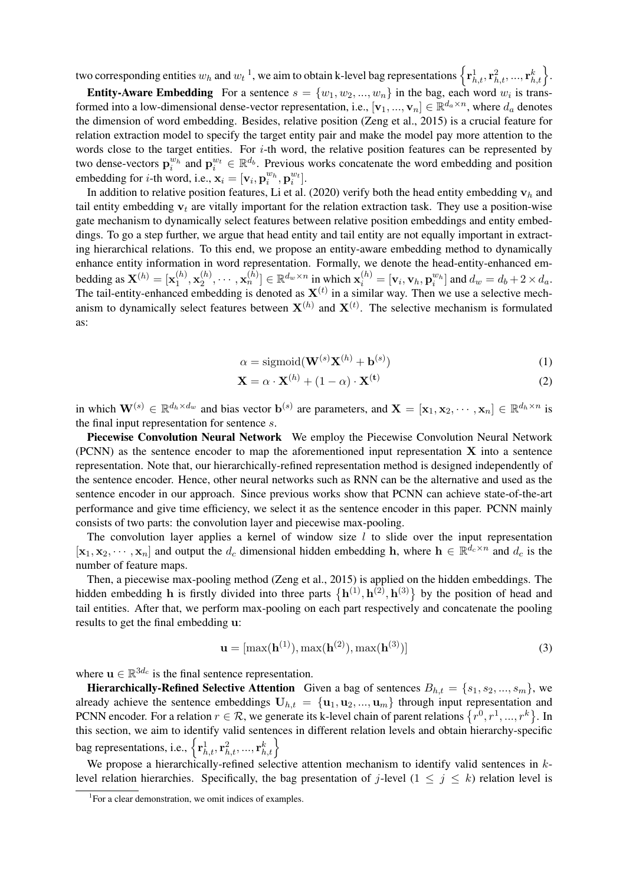two corresponding entities  $w_h$  and  $w_t^{-1}$ , we aim to obtain k-level bag representations  $\left\{ {\bf r}_{h,t}^1, {\bf r}_{h,t}^2, ..., {\bf r}_{h,t}^k \right\}$ .

**Entity-Aware Embedding** For a sentence  $s = \{w_1, w_2, ..., w_n\}$  in the bag, each word  $w_i$  is transformed into a low-dimensional dense-vector representation, i.e.,  $[\mathbf{v}_1, ..., \mathbf{v}_n] \in \mathbb{R}^{d_a \times n}$ , where  $d_a$  denotes the dimension of word embedding. Besides, relative position (Zeng et al., 2015) is a crucial feature for relation extraction model to specify the target entity pair and make the model pay more attention to the words close to the target entities. For  $i$ -th word, the relative position features can be represented by two dense-vectors  $\mathbf{p}_i^{w_h}$  and  $\mathbf{p}_i^{w_t} \in \mathbb{R}^{d_b}$ . Previous works concatenate the word embedding and position embedding for *i*-th word, i.e.,  $\mathbf{x}_i = [\mathbf{v}_i, \mathbf{p}_i^{w_h}, \mathbf{p}_i^{w_t}].$ 

In addition to relative position features, Li et al. (2020) verify both the head entity embedding  $v_h$  and tail entity embedding  $v_t$  are vitally important for the relation extraction task. They use a position-wise gate mechanism to dynamically select features between relative position embeddings and entity embeddings. To go a step further, we argue that head entity and tail entity are not equally important in extracting hierarchical relations. To this end, we propose an entity-aware embedding method to dynamically enhance entity information in word representation. Formally, we denote the head-entity-enhanced embedding as  $\mathbf{X}^{(h)} = [\mathbf{x}_1^{(h)}]$  $\mathbf{x}_1^{(h)}, \mathbf{x}_2^{(h)}$  $\mathbf{X}_2^{(h)}, \cdots, \mathbf{x}_n^{(h)}] \in \mathbb{R}^{d_w \times n}$  in which  $\mathbf{x}_i^{(h)} = [\mathbf{v}_i, \mathbf{v}_h, \mathbf{p}_i^{w_h}]$  and  $d_w = d_b + 2 \times d_a$ . The tail-entity-enhanced embedding is denoted as  $X<sup>(t)</sup>$  in a similar way. Then we use a selective mechanism to dynamically select features between  $X^{(h)}$  and  $X^{(t)}$ . The selective mechanism is formulated as:

$$
\alpha = \text{sigmoid}(\mathbf{W}^{(s)} \mathbf{X}^{(h)} + \mathbf{b}^{(s)})
$$
\n(1)

$$
\mathbf{X} = \alpha \cdot \mathbf{X}^{(h)} + (1 - \alpha) \cdot \mathbf{X}^{(t)}
$$
 (2)

in which  $\mathbf{W}^{(s)} \in \mathbb{R}^{d_h \times d_w}$  and bias vector  $\mathbf{b}^{(s)}$  are parameters, and  $\mathbf{X} = [\mathbf{x}_1, \mathbf{x}_2, \cdots, \mathbf{x}_n] \in \mathbb{R}^{d_h \times n}$  is the final input representation for sentence s.

Piecewise Convolution Neural Network We employ the Piecewise Convolution Neural Network (PCNN) as the sentence encoder to map the aforementioned input representation X into a sentence representation. Note that, our hierarchically-refined representation method is designed independently of the sentence encoder. Hence, other neural networks such as RNN can be the alternative and used as the sentence encoder in our approach. Since previous works show that PCNN can achieve state-of-the-art performance and give time efficiency, we select it as the sentence encoder in this paper. PCNN mainly consists of two parts: the convolution layer and piecewise max-pooling.

The convolution layer applies a kernel of window size  $l$  to slide over the input representation  $[\mathbf{x}_1, \mathbf{x}_2, \cdots, \mathbf{x}_n]$  and output the  $d_c$  dimensional hidden embedding h, where  $\mathbf{h} \in \mathbb{R}^{d_c \times n}$  and  $d_c$  is the number of feature maps.

Then, a piecewise max-pooling method (Zeng et al., 2015) is applied on the hidden embeddings. The hidden embedding h is firstly divided into three parts  $\{h^{(1)}, h^{(2)}, h^{(3)}\}$  by the position of head and tail entities. After that, we perform max-pooling on each part respectively and concatenate the pooling results to get the final embedding u:

$$
\mathbf{u} = [\max(\mathbf{h}^{(1)}), \max(\mathbf{h}^{(2)}), \max(\mathbf{h}^{(3)})]
$$
(3)

where  $\mathbf{u} \in \mathbb{R}^{3d_c}$  is the final sentence representation.

**Hierarchically-Refined Selective Attention** Given a bag of sentences  $B_{h,t} = \{s_1, s_2, ..., s_m\}$ , we already achieve the sentence embeddings  $U_{h,t} = \{u_1, u_2, ..., u_m\}$  through input representation and PCNN encoder. For a relation  $r \in \mathcal{R}$ , we generate its k-level chain of parent relations  $\{r^0, r^1, ..., r^k\}$ . In this section, we aim to identify valid sentences in different relation levels and obtain hierarchy-specific bag representations, i.e.,  $\left\{ {\mathbf{r}_{h,t}^{1},\mathbf{r}_{h,t}^{2},...,\mathbf{r}_{h,t}^{k}} \right\}$ 

We propose a hierarchically-refined selective attention mechanism to identify valid sentences in  $k$ level relation hierarchies. Specifically, the bag presentation of j-level ( $1 \le j \le k$ ) relation level is

<sup>1</sup> For a clear demonstration, we omit indices of examples.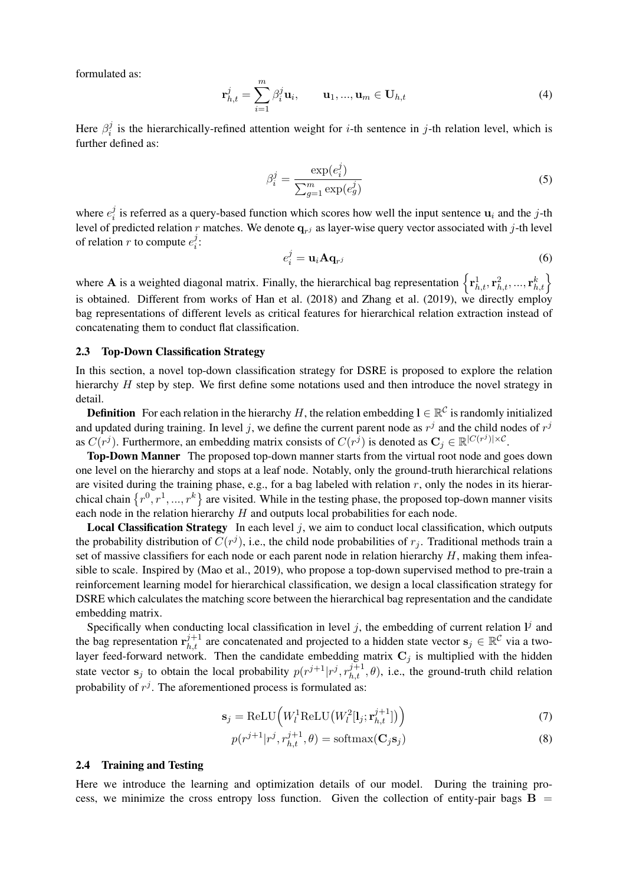formulated as:

$$
\mathbf{r}_{h,t}^j = \sum_{i=1}^m \beta_i^j \mathbf{u}_i, \qquad \mathbf{u}_1, ..., \mathbf{u}_m \in \mathbf{U}_{h,t}
$$
 (4)

Here  $\beta_i^j$  $i$  is the hierarchically-refined attention weight for *i*-th sentence in *j*-th relation level, which is further defined as:

$$
\beta_i^j = \frac{\exp(e_i^j)}{\sum_{g=1}^m \exp(e_g^j)}
$$
\n(5)

where  $e_i^j$  $i_i$  is referred as a query-based function which scores how well the input sentence  $u_i$  and the j-th level of predicted relation r matches. We denote  $q_{rj}$  as layer-wise query vector associated with j-th level of relation r to compute  $e_i^j$  $\frac{j}{i}$ :

$$
e_i^j = \mathbf{u}_i \mathbf{A} \mathbf{q}_{r^j} \tag{6}
$$

where **A** is a weighted diagonal matrix. Finally, the hierarchical bag representation  $\left\{ \mathbf{r}_{h,t}^{1}, \mathbf{r}_{h,t}^{2}, ..., \mathbf{r}_{h,t}^{k} \right\}$ is obtained. Different from works of Han et al. (2018) and Zhang et al. (2019), we directly employ bag representations of different levels as critical features for hierarchical relation extraction instead of concatenating them to conduct flat classification.

#### 2.3 Top-Down Classification Strategy

In this section, a novel top-down classification strategy for DSRE is proposed to explore the relation hierarchy H step by step. We first define some notations used and then introduce the novel strategy in detail.

**Definition** For each relation in the hierarchy H, the relation embedding  $l \in \mathbb{R}^C$  is randomly initialized and updated during training. In level j, we define the current parent node as  $r<sup>j</sup>$  and the child nodes of  $r<sup>j</sup>$ as  $C(r^j)$ . Furthermore, an embedding matrix consists of  $C(r^{\tilde{j}})$  is denoted as  $\mathbf{C}_j \in \mathbb{R}^{|C(r^j)| \times C}$ .

Top-Down Manner The proposed top-down manner starts from the virtual root node and goes down one level on the hierarchy and stops at a leaf node. Notably, only the ground-truth hierarchical relations are visited during the training phase, e.g., for a bag labeled with relation  $r$ , only the nodes in its hierarchical chain  $\{r^0, r^1, ..., r^k\}$  are visited. While in the testing phase, the proposed top-down manner visits each node in the relation hierarchy  $H$  and outputs local probabilities for each node.

**Local Classification Strategy** In each level  $j$ , we aim to conduct local classification, which outputs the probability distribution of  $C(r^j)$ , i.e., the child node probabilities of  $r_j$ . Traditional methods train a set of massive classifiers for each node or each parent node in relation hierarchy  $H$ , making them infeasible to scale. Inspired by (Mao et al., 2019), who propose a top-down supervised method to pre-train a reinforcement learning model for hierarchical classification, we design a local classification strategy for DSRE which calculates the matching score between the hierarchical bag representation and the candidate embedding matrix.

Specifically when conducting local classification in level  $j$ , the embedding of current relation  $I^j$  and the bag representation  $\mathbf{r}_{h,t}^{j+1}$  are concatenated and projected to a hidden state vector  $\mathbf{s}_j \in \mathbb{R}^C$  via a twolayer feed-forward network. Then the candidate embedding matrix  $C_j$  is multiplied with the hidden state vector  $s_j$  to obtain the local probability  $p(r^{j+1}|r^j, r_{h,t}^{j+1}, \theta)$ , i.e., the ground-truth child relation probability of  $r^j$ . The aforementioned process is formulated as:

$$
\mathbf{s}_{j} = \text{ReLU}\Big(W_{l}^{1}\text{ReLU}\big(W_{l}^{2}[\mathbf{l}_{j};\mathbf{r}_{h,t}^{j+1}]\big)\Big) \tag{7}
$$

$$
p(r^{j+1}|r^j, r_{h,t}^{j+1}, \theta) = \text{softmax}(\mathbf{C}_j \mathbf{s}_j)
$$
\n(8)

#### 2.4 Training and Testing

Here we introduce the learning and optimization details of our model. During the training process, we minimize the cross entropy loss function. Given the collection of entity-pair bags  $B =$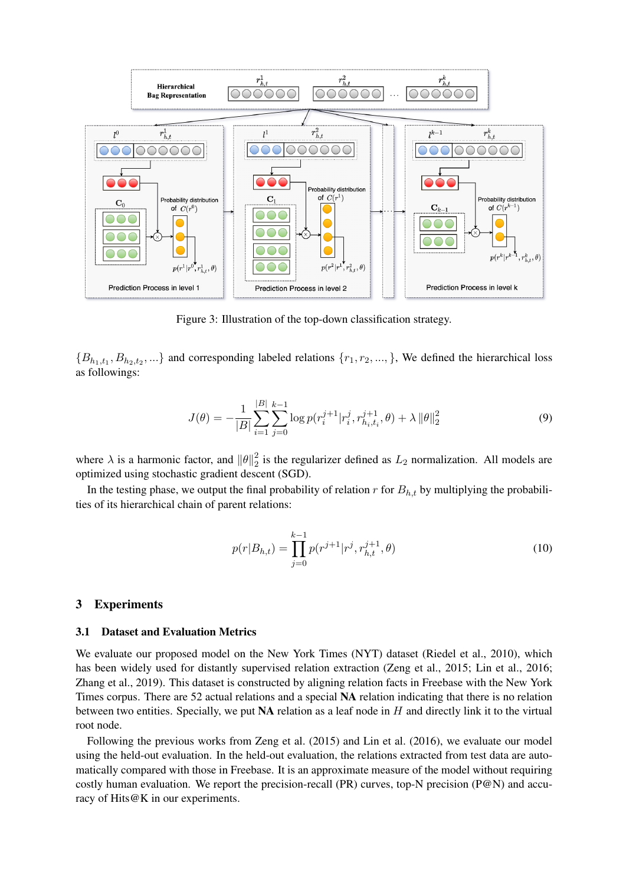

Figure 3: Illustration of the top-down classification strategy.

 ${B_{h_1,t_1}, B_{h_2,t_2}, ...}$  and corresponding labeled relations  ${r_1, r_2, ...,}$ , We defined the hierarchical loss as followings:

$$
J(\theta) = -\frac{1}{|B|} \sum_{i=1}^{|B|} \sum_{j=0}^{k-1} \log p(r_i^{j+1} | r_i^j, r_{h_i, t_i}^{j+1}, \theta) + \lambda ||\theta||_2^2
$$
 (9)

where  $\lambda$  is a harmonic factor, and  $\|\theta\|_2^2$  $\frac{2}{2}$  is the regularizer defined as  $L_2$  normalization. All models are optimized using stochastic gradient descent (SGD).

In the testing phase, we output the final probability of relation  $r$  for  $B_{h,t}$  by multiplying the probabilities of its hierarchical chain of parent relations:

$$
p(r|B_{h,t}) = \prod_{j=0}^{k-1} p(r^{j+1}|r^j, r_{h,t}^{j+1}, \theta)
$$
\n(10)

#### 3 Experiments

#### 3.1 Dataset and Evaluation Metrics

We evaluate our proposed model on the New York Times (NYT) dataset (Riedel et al., 2010), which has been widely used for distantly supervised relation extraction (Zeng et al., 2015; Lin et al., 2016; Zhang et al., 2019). This dataset is constructed by aligning relation facts in Freebase with the New York Times corpus. There are 52 actual relations and a special NA relation indicating that there is no relation between two entities. Specially, we put  $NA$  relation as a leaf node in  $H$  and directly link it to the virtual root node.

Following the previous works from Zeng et al. (2015) and Lin et al. (2016), we evaluate our model using the held-out evaluation. In the held-out evaluation, the relations extracted from test data are automatically compared with those in Freebase. It is an approximate measure of the model without requiring costly human evaluation. We report the precision-recall (PR) curves, top-N precision ( $P@N$ ) and accuracy of Hits@K in our experiments.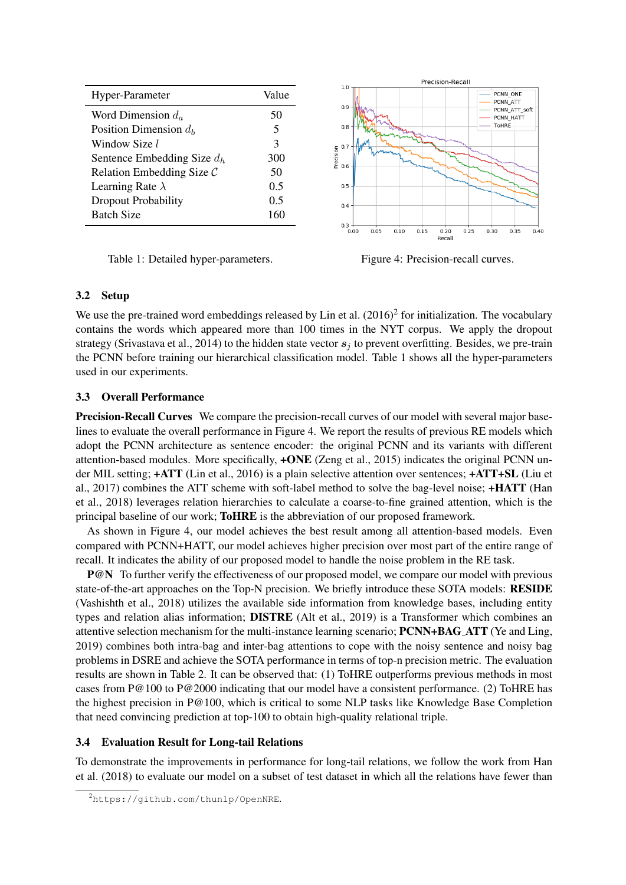| Hyper-Parameter               | Value |
|-------------------------------|-------|
| Word Dimension $d_a$          | 50    |
| Position Dimension $d_h$      | 5     |
| Window Size l                 | 3     |
| Sentence Embedding Size $d_h$ | 300   |
| Relation Embedding Size $C$   | 50    |
| Learning Rate $\lambda$       | 0.5   |
| <b>Dropout Probability</b>    | 0.5   |
| <b>Batch Size</b>             |       |

Table 1: Detailed hyper-parameters. Figure 4: Precision-recall curves.

# 3.2 Setup

We use the pre-trained word embeddings released by Lin et al.  $(2016)^2$  for initialization. The vocabulary contains the words which appeared more than 100 times in the NYT corpus. We apply the dropout strategy (Srivastava et al., 2014) to the hidden state vector  $s_j$  to prevent overfitting. Besides, we pre-train the PCNN before training our hierarchical classification model. Table 1 shows all the hyper-parameters used in our experiments.

# 3.3 Overall Performance

Precision-Recall Curves We compare the precision-recall curves of our model with several major baselines to evaluate the overall performance in Figure 4. We report the results of previous RE models which adopt the PCNN architecture as sentence encoder: the original PCNN and its variants with different attention-based modules. More specifically, +ONE (Zeng et al., 2015) indicates the original PCNN under MIL setting; +ATT (Lin et al., 2016) is a plain selective attention over sentences; +ATT+SL (Liu et al., 2017) combines the ATT scheme with soft-label method to solve the bag-level noise; +HATT (Han et al., 2018) leverages relation hierarchies to calculate a coarse-to-fine grained attention, which is the principal baseline of our work; ToHRE is the abbreviation of our proposed framework.

As shown in Figure 4, our model achieves the best result among all attention-based models. Even compared with PCNN+HATT, our model achieves higher precision over most part of the entire range of recall. It indicates the ability of our proposed model to handle the noise problem in the RE task.

P@N To further verify the effectiveness of our proposed model, we compare our model with previous state-of-the-art approaches on the Top-N precision. We briefly introduce these SOTA models: RESIDE (Vashishth et al., 2018) utilizes the available side information from knowledge bases, including entity types and relation alias information; DISTRE (Alt et al., 2019) is a Transformer which combines an attentive selection mechanism for the multi-instance learning scenario; PCNN+BAG ATT (Ye and Ling, 2019) combines both intra-bag and inter-bag attentions to cope with the noisy sentence and noisy bag problems in DSRE and achieve the SOTA performance in terms of top-n precision metric. The evaluation results are shown in Table 2. It can be observed that: (1) ToHRE outperforms previous methods in most cases from P@100 to P@2000 indicating that our model have a consistent performance. (2) ToHRE has the highest precision in P@100, which is critical to some NLP tasks like Knowledge Base Completion that need convincing prediction at top-100 to obtain high-quality relational triple.

# 3.4 Evaluation Result for Long-tail Relations

To demonstrate the improvements in performance for long-tail relations, we follow the work from Han et al. (2018) to evaluate our model on a subset of test dataset in which all the relations have fewer than



<sup>2</sup>https://github.com/thunlp/OpenNRE.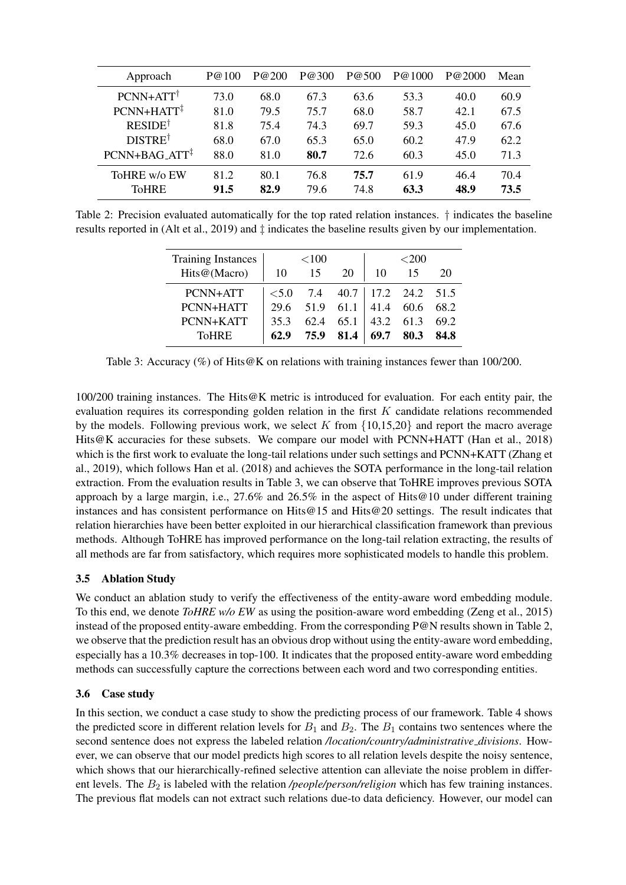| Approach                                     | P@100 | P@200 | P@300 | P@500 | P@1000 | P@2000 | Mean |
|----------------------------------------------|-------|-------|-------|-------|--------|--------|------|
| $PCNN+ATT^{\dagger}$                         | 73.0  | 68.0  | 67.3  | 63.6  | 53.3   | 40.0   | 60.9 |
| $PCNN+HATT$ <sup><math>\ddagger</math></sup> | 81.0  | 79.5  | 75.7  | 68.0  | 58.7   | 42.1   | 67.5 |
| <b>RESIDE</b> <sup>†</sup>                   | 81.8  | 75.4  | 74.3  | 69.7  | 59.3   | 45.0   | 67.6 |
| DISTRE <sup>†</sup>                          | 68.0  | 67.0  | 65.3  | 65.0  | 60.2   | 47.9   | 62.2 |
| $PCNN+BAG_ATT^{\ddagger}$                    | 88.0  | 81.0  | 80.7  | 72.6  | 60.3   | 45.0   | 71.3 |
| ToHRE w/o EW                                 | 81.2  | 80.1  | 76.8  | 75.7  | 61.9   | 46.4   | 70.4 |
| ToHRE                                        | 91.5  | 82.9  | 79.6  | 74.8  | 63.3   | 48.9   | 73.5 |

Table 2: Precision evaluated automatically for the top rated relation instances. † indicates the baseline results reported in (Alt et al., 2019) and ‡ indicates the baseline results given by our implementation.

| <b>Training Instances</b> |         | < 100 |                             |           | $<$ 200   |      |
|---------------------------|---------|-------|-----------------------------|-----------|-----------|------|
| Hits@(Macro)              | 10      | 15    | 20                          | 10        | -15       | 20   |
| PCNN+ATT                  | $<$ 5.0 |       | 7.4 40.7 17.2 24.2 51.5     |           |           |      |
| PCNN+HATT                 | 29.6    |       | $51.9 \quad 61.1 \mid 41.4$ |           | 60.6 68.2 |      |
| PCNN+KATT                 | 35.3    | 62.4  | 65.1                        | 43.2 61.3 |           | 69.2 |
| <b>ToHRE</b>              | 62.9    | 75.9  | 81.4                        | 69.7      | 80.3      | 84.8 |

Table 3: Accuracy (%) of Hits@K on relations with training instances fewer than 100/200.

100/200 training instances. The Hits@K metric is introduced for evaluation. For each entity pair, the evaluation requires its corresponding golden relation in the first  $K$  candidate relations recommended by the models. Following previous work, we select K from  $\{10,15,20\}$  and report the macro average Hits@K accuracies for these subsets. We compare our model with PCNN+HATT (Han et al., 2018) which is the first work to evaluate the long-tail relations under such settings and PCNN+KATT (Zhang et al., 2019), which follows Han et al. (2018) and achieves the SOTA performance in the long-tail relation extraction. From the evaluation results in Table 3, we can observe that ToHRE improves previous SOTA approach by a large margin, i.e.,  $27.6\%$  and  $26.5\%$  in the aspect of Hits@10 under different training instances and has consistent performance on Hits@15 and Hits@20 settings. The result indicates that relation hierarchies have been better exploited in our hierarchical classification framework than previous methods. Although ToHRE has improved performance on the long-tail relation extracting, the results of all methods are far from satisfactory, which requires more sophisticated models to handle this problem.

# 3.5 Ablation Study

We conduct an ablation study to verify the effectiveness of the entity-aware word embedding module. To this end, we denote *ToHRE w/o EW* as using the position-aware word embedding (Zeng et al., 2015) instead of the proposed entity-aware embedding. From the corresponding P@N results shown in Table 2, we observe that the prediction result has an obvious drop without using the entity-aware word embedding, especially has a 10.3% decreases in top-100. It indicates that the proposed entity-aware word embedding methods can successfully capture the corrections between each word and two corresponding entities.

# 3.6 Case study

In this section, we conduct a case study to show the predicting process of our framework. Table 4 shows the predicted score in different relation levels for  $B_1$  and  $B_2$ . The  $B_1$  contains two sentences where the second sentence does not express the labeled relation */location/country/administrative divisions*. However, we can observe that our model predicts high scores to all relation levels despite the noisy sentence, which shows that our hierarchically-refined selective attention can alleviate the noise problem in different levels. The  $B_2$  is labeled with the relation */people/person/religion* which has few training instances. The previous flat models can not extract such relations due-to data deficiency. However, our model can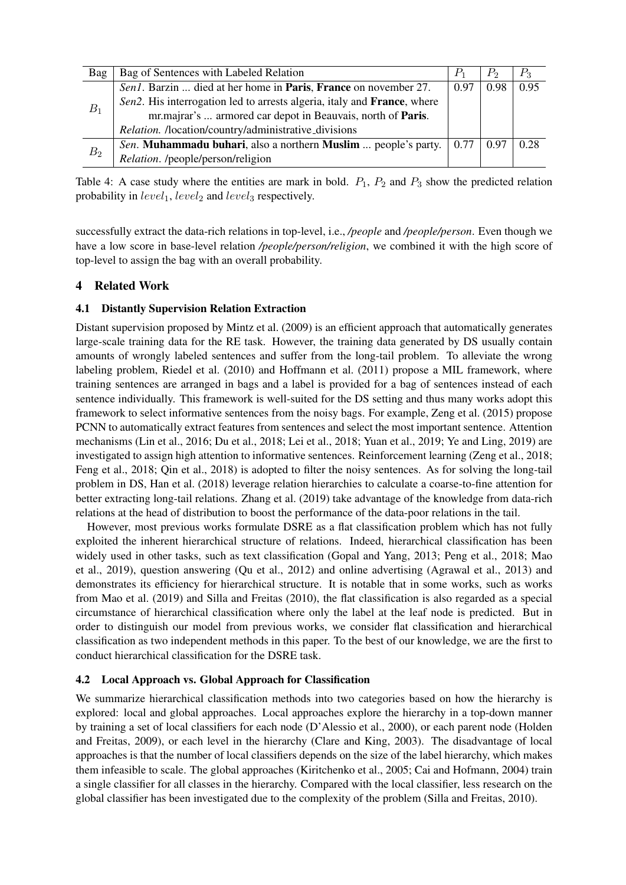| Bag   | Bag of Sentences with Labeled Relation                                                                 | $P_1$ | $P_{2}$    | $P_3$ |
|-------|--------------------------------------------------------------------------------------------------------|-------|------------|-------|
| $B_1$ | Sen1. Barzin  died at her home in <b>Paris</b> , <b>France</b> on november 27.                         | 0.97  | 0.98       | 0.95  |
|       | Sen2. His interrogation led to arrests algeria, it aly and <b>France</b> , where                       |       |            |       |
|       | mr.majrar's  armored car depot in Beauvais, north of Paris.                                            |       |            |       |
|       | Relation. /location/country/administrative_divisions                                                   |       |            |       |
| $B_2$ | <i>Sen.</i> <b>Muhammadu buhari</b> , also a northern <b>Muslim</b> people's party. $\vert 0.77 \vert$ |       | $\pm 0.97$ | 0.28  |
|       | <i>Relation.</i> /people/person/religion                                                               |       |            |       |

Table 4: A case study where the entities are mark in bold.  $P_1$ ,  $P_2$  and  $P_3$  show the predicted relation probability in  $level_1, level_2$  and  $level_3$  respectively.

successfully extract the data-rich relations in top-level, i.e., */people* and */people/person*. Even though we have a low score in base-level relation */people/person/religion*, we combined it with the high score of top-level to assign the bag with an overall probability.

# 4 Related Work

# 4.1 Distantly Supervision Relation Extraction

Distant supervision proposed by Mintz et al. (2009) is an efficient approach that automatically generates large-scale training data for the RE task. However, the training data generated by DS usually contain amounts of wrongly labeled sentences and suffer from the long-tail problem. To alleviate the wrong labeling problem, Riedel et al. (2010) and Hoffmann et al. (2011) propose a MIL framework, where training sentences are arranged in bags and a label is provided for a bag of sentences instead of each sentence individually. This framework is well-suited for the DS setting and thus many works adopt this framework to select informative sentences from the noisy bags. For example, Zeng et al. (2015) propose PCNN to automatically extract features from sentences and select the most important sentence. Attention mechanisms (Lin et al., 2016; Du et al., 2018; Lei et al., 2018; Yuan et al., 2019; Ye and Ling, 2019) are investigated to assign high attention to informative sentences. Reinforcement learning (Zeng et al., 2018; Feng et al., 2018; Qin et al., 2018) is adopted to filter the noisy sentences. As for solving the long-tail problem in DS, Han et al. (2018) leverage relation hierarchies to calculate a coarse-to-fine attention for better extracting long-tail relations. Zhang et al. (2019) take advantage of the knowledge from data-rich relations at the head of distribution to boost the performance of the data-poor relations in the tail.

However, most previous works formulate DSRE as a flat classification problem which has not fully exploited the inherent hierarchical structure of relations. Indeed, hierarchical classification has been widely used in other tasks, such as text classification (Gopal and Yang, 2013; Peng et al., 2018; Mao et al., 2019), question answering (Qu et al., 2012) and online advertising (Agrawal et al., 2013) and demonstrates its efficiency for hierarchical structure. It is notable that in some works, such as works from Mao et al. (2019) and Silla and Freitas (2010), the flat classification is also regarded as a special circumstance of hierarchical classification where only the label at the leaf node is predicted. But in order to distinguish our model from previous works, we consider flat classification and hierarchical classification as two independent methods in this paper. To the best of our knowledge, we are the first to conduct hierarchical classification for the DSRE task.

# 4.2 Local Approach vs. Global Approach for Classification

We summarize hierarchical classification methods into two categories based on how the hierarchy is explored: local and global approaches. Local approaches explore the hierarchy in a top-down manner by training a set of local classifiers for each node (D'Alessio et al., 2000), or each parent node (Holden and Freitas, 2009), or each level in the hierarchy (Clare and King, 2003). The disadvantage of local approaches is that the number of local classifiers depends on the size of the label hierarchy, which makes them infeasible to scale. The global approaches (Kiritchenko et al., 2005; Cai and Hofmann, 2004) train a single classifier for all classes in the hierarchy. Compared with the local classifier, less research on the global classifier has been investigated due to the complexity of the problem (Silla and Freitas, 2010).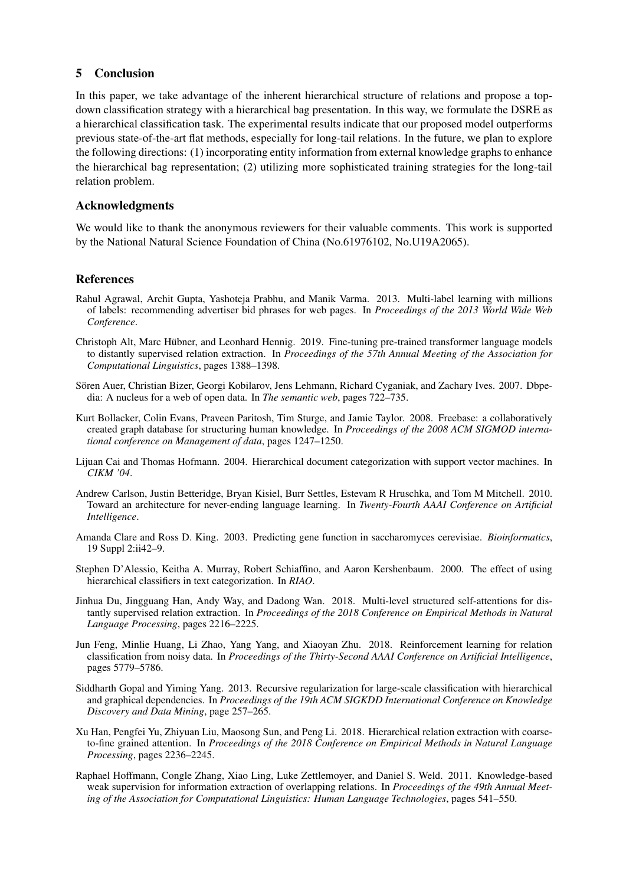# 5 Conclusion

In this paper, we take advantage of the inherent hierarchical structure of relations and propose a topdown classification strategy with a hierarchical bag presentation. In this way, we formulate the DSRE as a hierarchical classification task. The experimental results indicate that our proposed model outperforms previous state-of-the-art flat methods, especially for long-tail relations. In the future, we plan to explore the following directions: (1) incorporating entity information from external knowledge graphs to enhance the hierarchical bag representation; (2) utilizing more sophisticated training strategies for the long-tail relation problem.

# Acknowledgments

We would like to thank the anonymous reviewers for their valuable comments. This work is supported by the National Natural Science Foundation of China (No.61976102, No.U19A2065).

# References

- Rahul Agrawal, Archit Gupta, Yashoteja Prabhu, and Manik Varma. 2013. Multi-label learning with millions of labels: recommending advertiser bid phrases for web pages. In *Proceedings of the 2013 World Wide Web Conference*.
- Christoph Alt, Marc Hubner, and Leonhard Hennig. 2019. Fine-tuning pre-trained transformer language models ¨ to distantly supervised relation extraction. In *Proceedings of the 57th Annual Meeting of the Association for Computational Linguistics*, pages 1388–1398.
- Sören Auer, Christian Bizer, Georgi Kobilarov, Jens Lehmann, Richard Cyganiak, and Zachary Ives. 2007. Dbpedia: A nucleus for a web of open data. In *The semantic web*, pages 722–735.
- Kurt Bollacker, Colin Evans, Praveen Paritosh, Tim Sturge, and Jamie Taylor. 2008. Freebase: a collaboratively created graph database for structuring human knowledge. In *Proceedings of the 2008 ACM SIGMOD international conference on Management of data*, pages 1247–1250.
- Lijuan Cai and Thomas Hofmann. 2004. Hierarchical document categorization with support vector machines. In *CIKM '04*.
- Andrew Carlson, Justin Betteridge, Bryan Kisiel, Burr Settles, Estevam R Hruschka, and Tom M Mitchell. 2010. Toward an architecture for never-ending language learning. In *Twenty-Fourth AAAI Conference on Artificial Intelligence*.
- Amanda Clare and Ross D. King. 2003. Predicting gene function in saccharomyces cerevisiae. *Bioinformatics*, 19 Suppl 2:ii42–9.
- Stephen D'Alessio, Keitha A. Murray, Robert Schiaffino, and Aaron Kershenbaum. 2000. The effect of using hierarchical classifiers in text categorization. In *RIAO*.
- Jinhua Du, Jingguang Han, Andy Way, and Dadong Wan. 2018. Multi-level structured self-attentions for distantly supervised relation extraction. In *Proceedings of the 2018 Conference on Empirical Methods in Natural Language Processing*, pages 2216–2225.
- Jun Feng, Minlie Huang, Li Zhao, Yang Yang, and Xiaoyan Zhu. 2018. Reinforcement learning for relation classification from noisy data. In *Proceedings of the Thirty-Second AAAI Conference on Artificial Intelligence*, pages 5779–5786.
- Siddharth Gopal and Yiming Yang. 2013. Recursive regularization for large-scale classification with hierarchical and graphical dependencies. In *Proceedings of the 19th ACM SIGKDD International Conference on Knowledge Discovery and Data Mining*, page 257–265.
- Xu Han, Pengfei Yu, Zhiyuan Liu, Maosong Sun, and Peng Li. 2018. Hierarchical relation extraction with coarseto-fine grained attention. In *Proceedings of the 2018 Conference on Empirical Methods in Natural Language Processing*, pages 2236–2245.
- Raphael Hoffmann, Congle Zhang, Xiao Ling, Luke Zettlemoyer, and Daniel S. Weld. 2011. Knowledge-based weak supervision for information extraction of overlapping relations. In *Proceedings of the 49th Annual Meeting of the Association for Computational Linguistics: Human Language Technologies*, pages 541–550.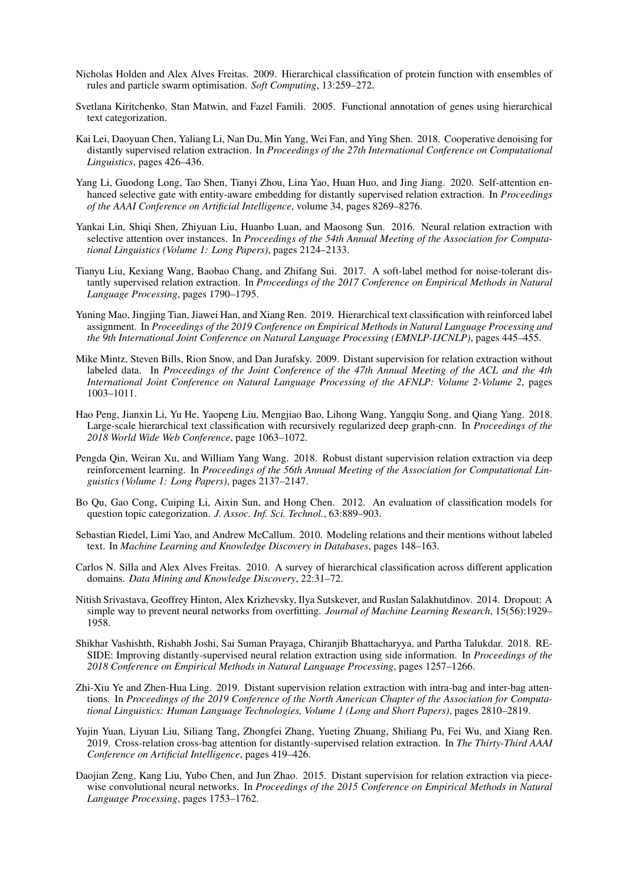- Nicholas Holden and Alex Alves Freitas. 2009. Hierarchical classification of protein function with ensembles of rules and particle swarm optimisation. *Soft Computing*, 13:259–272.
- Svetlana Kiritchenko, Stan Matwin, and Fazel Famili. 2005. Functional annotation of genes using hierarchical text categorization.
- Kai Lei, Daoyuan Chen, Yaliang Li, Nan Du, Min Yang, Wei Fan, and Ying Shen. 2018. Cooperative denoising for distantly supervised relation extraction. In *Proceedings of the 27th International Conference on Computational Linguistics*, pages 426–436.
- Yang Li, Guodong Long, Tao Shen, Tianyi Zhou, Lina Yao, Huan Huo, and Jing Jiang. 2020. Self-attention enhanced selective gate with entity-aware embedding for distantly supervised relation extraction. In *Proceedings of the AAAI Conference on Artificial Intelligence*, volume 34, pages 8269–8276.
- Yankai Lin, Shiqi Shen, Zhiyuan Liu, Huanbo Luan, and Maosong Sun. 2016. Neural relation extraction with selective attention over instances. In *Proceedings of the 54th Annual Meeting of the Association for Computational Linguistics (Volume 1: Long Papers)*, pages 2124–2133.
- Tianyu Liu, Kexiang Wang, Baobao Chang, and Zhifang Sui. 2017. A soft-label method for noise-tolerant distantly supervised relation extraction. In *Proceedings of the 2017 Conference on Empirical Methods in Natural Language Processing*, pages 1790–1795.
- Yuning Mao, Jingjing Tian, Jiawei Han, and Xiang Ren. 2019. Hierarchical text classification with reinforced label assignment. In *Proceedings of the 2019 Conference on Empirical Methods in Natural Language Processing and the 9th International Joint Conference on Natural Language Processing (EMNLP-IJCNLP)*, pages 445–455.
- Mike Mintz, Steven Bills, Rion Snow, and Dan Jurafsky. 2009. Distant supervision for relation extraction without labeled data. In *Proceedings of the Joint Conference of the 47th Annual Meeting of the ACL and the 4th International Joint Conference on Natural Language Processing of the AFNLP: Volume 2-Volume 2*, pages 1003–1011.
- Hao Peng, Jianxin Li, Yu He, Yaopeng Liu, Mengjiao Bao, Lihong Wang, Yangqiu Song, and Qiang Yang. 2018. Large-scale hierarchical text classification with recursively regularized deep graph-cnn. In *Proceedings of the 2018 World Wide Web Conference*, page 1063–1072.
- Pengda Qin, Weiran Xu, and William Yang Wang. 2018. Robust distant supervision relation extraction via deep reinforcement learning. In *Proceedings of the 56th Annual Meeting of the Association for Computational Linguistics (Volume 1: Long Papers)*, pages 2137–2147.
- Bo Qu, Gao Cong, Cuiping Li, Aixin Sun, and Hong Chen. 2012. An evaluation of classification models for question topic categorization. *J. Assoc. Inf. Sci. Technol.*, 63:889–903.
- Sebastian Riedel, Limi Yao, and Andrew McCallum. 2010. Modeling relations and their mentions without labeled text. In *Machine Learning and Knowledge Discovery in Databases*, pages 148–163.
- Carlos N. Silla and Alex Alves Freitas. 2010. A survey of hierarchical classification across different application domains. *Data Mining and Knowledge Discovery*, 22:31–72.
- Nitish Srivastava, Geoffrey Hinton, Alex Krizhevsky, Ilya Sutskever, and Ruslan Salakhutdinov. 2014. Dropout: A simple way to prevent neural networks from overfitting. *Journal of Machine Learning Research*, 15(56):1929– 1958.
- Shikhar Vashishth, Rishabh Joshi, Sai Suman Prayaga, Chiranjib Bhattacharyya, and Partha Talukdar. 2018. RE-SIDE: Improving distantly-supervised neural relation extraction using side information. In *Proceedings of the 2018 Conference on Empirical Methods in Natural Language Processing*, pages 1257–1266.
- Zhi-Xiu Ye and Zhen-Hua Ling. 2019. Distant supervision relation extraction with intra-bag and inter-bag attentions. In *Proceedings of the 2019 Conference of the North American Chapter of the Association for Computational Linguistics: Human Language Technologies, Volume 1 (Long and Short Papers)*, pages 2810–2819.
- Yujin Yuan, Liyuan Liu, Siliang Tang, Zhongfei Zhang, Yueting Zhuang, Shiliang Pu, Fei Wu, and Xiang Ren. 2019. Cross-relation cross-bag attention for distantly-supervised relation extraction. In *The Thirty-Third AAAI Conference on Artificial Intelligence*, pages 419–426.
- Daojian Zeng, Kang Liu, Yubo Chen, and Jun Zhao. 2015. Distant supervision for relation extraction via piecewise convolutional neural networks. In *Proceedings of the 2015 Conference on Empirical Methods in Natural Language Processing*, pages 1753–1762.